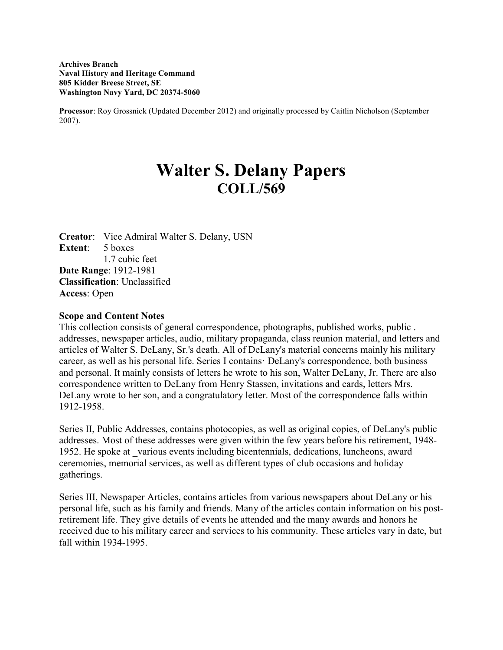**Archives Branch Naval History and Heritage Command 805 Kidder Breese Street, SE Washington Navy Yard, DC 20374-5060**

**Processor**: Roy Grossnick (Updated December 2012) and originally processed by Caitlin Nicholson (September 2007).

# **Walter S. Delany Papers COLL/569**

**Creator**: Vice Admiral Walter S. Delany, USN **Extent**: 5 boxes 1.7 cubic feet **Date Range**: 1912-1981 **Classification**: Unclassified **Access**: Open

#### **Scope and Content Notes**

This collection consists of general correspondence, photographs, published works, public . addresses, newspaper articles, audio, military propaganda, class reunion material, and letters and articles of Walter S. DeLany, Sr.'s death. All of DeLany's material concerns mainly his military career, as well as his personal life. Series I contains· DeLany's correspondence, both business and personal. It mainly consists of letters he wrote to his son, Walter DeLany, Jr. There are also correspondence written to DeLany from Henry Stassen, invitations and cards, letters Mrs. DeLany wrote to her son, and a congratulatory letter. Most of the correspondence falls within 1912-1958.

Series II, Public Addresses, contains photocopies, as well as original copies, of DeLany's public addresses. Most of these addresses were given within the few years before his retirement, 1948- 1952. He spoke at \_various events including bicentennials, dedications, luncheons, award ceremonies, memorial services, as well as different types of club occasions and holiday gatherings.

Series III, Newspaper Articles, contains articles from various newspapers about DeLany or his personal life, such as his family and friends. Many of the articles contain information on his postretirement life. They give details of events he attended and the many awards and honors he received due to his military career and services to his community. These articles vary in date, but fall within 1934-1995.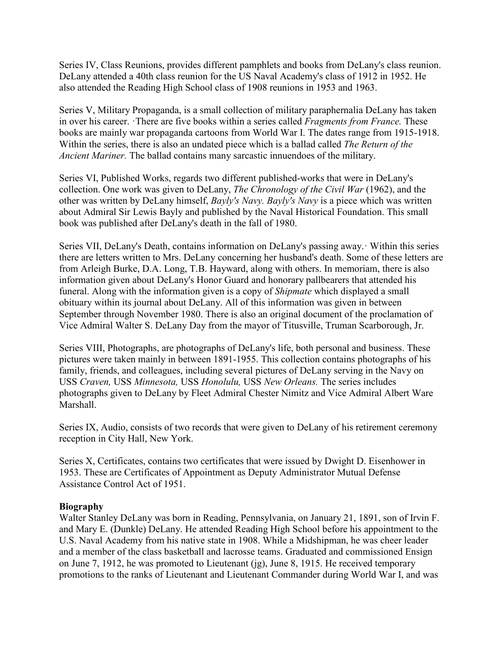Series IV, Class Reunions, provides different pamphlets and books from DeLany's class reunion. DeLany attended a 40th class reunion for the US Naval Academy's class of 1912 in 1952. He also attended the Reading High School class of 1908 reunions in 1953 and 1963.

Series V, Military Propaganda, is a small collection of military paraphernalia DeLany has taken in over his career. ·There are five books within a series called *Fragments from France.* These books are mainly war propaganda cartoons from World War I. The dates range from 1915-1918. Within the series, there is also an undated piece which is a ballad called *The Return of the Ancient Mariner.* The ballad contains many sarcastic innuendoes of the military.

Series VI, Published Works, regards two different published-works that were in DeLany's collection. One work was given to DeLany, *The Chronology of the Civil War* (1962), and the other was written by DeLany himself, *Bayly's Navy. Bayly's Navy* is a piece which was written about Admiral Sir Lewis Bayly and published by the Naval Historical Foundation. This small book was published after DeLany's death in the fall of 1980.

Series VII, DeLany's Death, contains information on DeLany's passing away.· Within this series there are letters written to Mrs. DeLany concerning her husband's death. Some of these letters are from Arleigh Burke, D.A. Long, T.B. Hayward, along with others. In memoriam, there is also information given about DeLany's Honor Guard and honorary pallbearers that attended his funeral. Along with the information given is a copy of *Shipmate* which displayed a small obituary within its journal about DeLany. All of this information was given in between September through November 1980. There is also an original document of the proclamation of Vice Admiral Walter S. DeLany Day from the mayor of Titusville, Truman Scarborough, Jr.

Series VIII, Photographs, are photographs of DeLany's life, both personal and business. These pictures were taken mainly in between 1891-1955. This collection contains photographs of his family, friends, and colleagues, including several pictures of DeLany serving in the Navy on USS *Craven,* USS *Minnesota,* USS *Honolulu,* USS *New Orleans.* The series includes photographs given to DeLany by Fleet Admiral Chester Nimitz and Vice Admiral Albert Ware Marshall.

Series IX, Audio, consists of two records that were given to DeLany of his retirement ceremony reception in City Hall, New York.

Series X, Certificates, contains two certificates that were issued by Dwight D. Eisenhower in 1953. These are Certificates of Appointment as Deputy Administrator Mutual Defense Assistance Control Act of 1951.

## **Biography**

Walter Stanley DeLany was born in Reading, Pennsylvania, on January 21, 1891, son of Irvin F. and Mary E. (Dunkle) DeLany. He attended Reading High School before his appointment to the U.S. Naval Academy from his native state in 1908. While a Midshipman, he was cheer leader and a member of the class basketball and lacrosse teams. Graduated and commissioned Ensign on June 7, 1912, he was promoted to Lieutenant (jg), June 8, 1915. He received temporary promotions to the ranks of Lieutenant and Lieutenant Commander during World War I, and was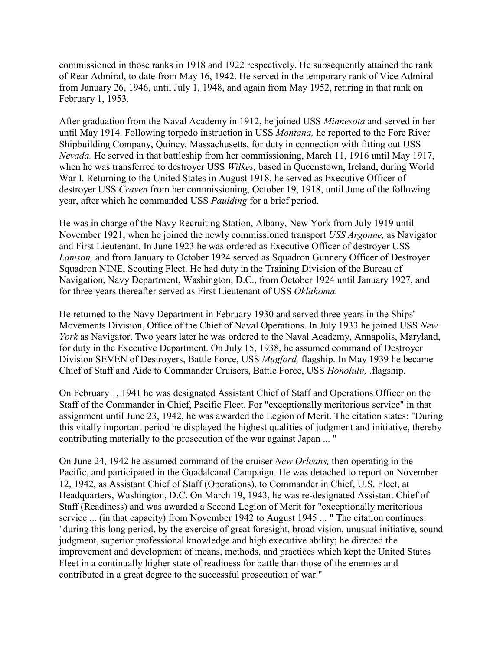commissioned in those ranks in 1918 and 1922 respectively. He subsequently attained the rank of Rear Admiral, to date from May 16, 1942. He served in the temporary rank of Vice Admiral from January 26, 1946, until July 1, 1948, and again from May 1952, retiring in that rank on February 1, 1953.

After graduation from the Naval Academy in 1912, he joined USS *Minnesota* and served in her until May 1914. Following torpedo instruction in USS *Montana,* he reported to the Fore River Shipbuilding Company, Quincy, Massachusetts, for duty in connection with fitting out USS *Nevada.* He served in that battleship from her commissioning, March 11, 1916 until May 1917, when he was transferred to destroyer USS *Wilkes,* based in Queenstown, Ireland, during World War I. Returning to the United States in August 1918, he served as Executive Officer of destroyer USS *Craven* from her commissioning, October 19, 1918, until June of the following year, after which he commanded USS *Paulding* for a brief period.

He was in charge of the Navy Recruiting Station, Albany, New York from July 1919 until November 1921, when he joined the newly commissioned transport *USS Argonne,* as Navigator and First Lieutenant. In June 1923 he was ordered as Executive Officer of destroyer USS *Lamson,* and from January to October 1924 served as Squadron Gunnery Officer of Destroyer Squadron NINE, Scouting Fleet. He had duty in the Training Division of the Bureau of Navigation, Navy Department, Washington, D.C., from October 1924 until January 1927, and for three years thereafter served as First Lieutenant of USS *Oklahoma.*

He returned to the Navy Department in February 1930 and served three years in the Ships' Movements Division, Office of the Chief of Naval Operations. In July 1933 he joined USS *New York* as Navigator. Two years later he was ordered to the Naval Academy, Annapolis, Maryland, for duty in the Executive Department. On July 15, 1938, he assumed command of Destroyer Division SEVEN of Destroyers, Battle Force, USS *Mugford,* flagship. In May 1939 he became Chief of Staff and Aide to Commander Cruisers, Battle Force, USS *Honolulu,* .flagship.

On February 1, 1941 he was designated Assistant Chief of Staff and Operations Officer on the Staff of the Commander in Chief, Pacific Fleet. For "exceptionally meritorious service" in that assignment until June 23, 1942, he was awarded the Legion of Merit. The citation states: "During this vitally important period he displayed the highest qualities of judgment and initiative, thereby contributing materially to the prosecution of the war against Japan ... "

On June 24, 1942 he assumed command of the cruiser *New Orleans,* then operating in the Pacific, and participated in the Guadalcanal Campaign. He was detached to report on November 12, 1942, as Assistant Chief of Staff (Operations), to Commander in Chief, U.S. Fleet, at Headquarters, Washington, D.C. On March 19, 1943, he was re-designated Assistant Chief of Staff (Readiness) and was awarded a Second Legion of Merit for "exceptionally meritorious service ... (in that capacity) from November 1942 to August 1945 ... " The citation continues: "during this long period, by the exercise of great foresight, broad vision, unusual initiative, sound judgment, superior professional knowledge and high executive ability; he directed the improvement and development of means, methods, and practices which kept the United States Fleet in a continually higher state of readiness for battle than those of the enemies and contributed in a great degree to the successful prosecution of war."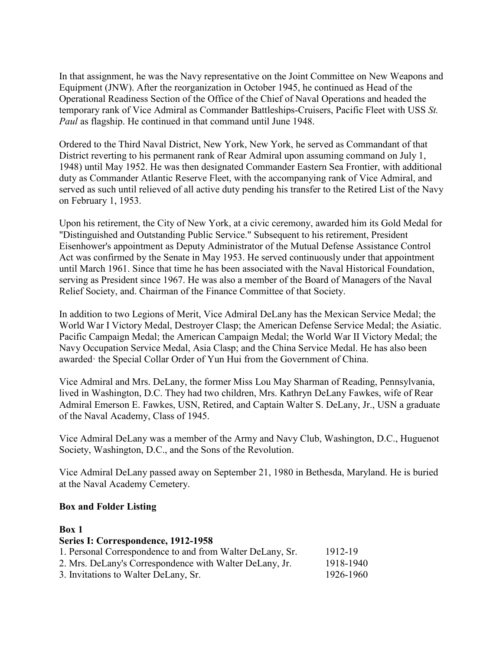In that assignment, he was the Navy representative on the Joint Committee on New Weapons and Equipment (JNW). After the reorganization in October 1945, he continued as Head of the Operational Readiness Section of the Office of the Chief of Naval Operations and headed the temporary rank of Vice Admiral as Commander Battleships-Cruisers, Pacific Fleet with USS *St. Paul* as flagship. He continued in that command until June 1948.

Ordered to the Third Naval District, New York, New York, he served as Commandant of that District reverting to his permanent rank of Rear Admiral upon assuming command on July 1, 1948) until May 1952. He was then designated Commander Eastern Sea Frontier, with additional duty as Commander Atlantic Reserve Fleet, with the accompanying rank of Vice Admiral, and served as such until relieved of all active duty pending his transfer to the Retired List of the Navy on February 1, 1953.

Upon his retirement, the City of New York, at a civic ceremony, awarded him its Gold Medal for "Distinguished and Outstanding Public Service." Subsequent to his retirement, President Eisenhower's appointment as Deputy Administrator of the Mutual Defense Assistance Control Act was confirmed by the Senate in May 1953. He served continuously under that appointment until March 1961. Since that time he has been associated with the Naval Historical Foundation, serving as President since 1967. He was also a member of the Board of Managers of the Naval Relief Society, and. Chairman of the Finance Committee of that Society.

In addition to two Legions of Merit, Vice Admiral DeLany has the Mexican Service Medal; the World War I Victory Medal, Destroyer Clasp; the American Defense Service Medal; the Asiatic. Pacific Campaign Medal; the American Campaign Medal; the World War II Victory Medal; the Navy Occupation Service Medal, Asia Clasp; and the China Service Medal. He has also been awarded· the Special Collar Order of Yun Hui from the Government of China.

Vice Admiral and Mrs. DeLany, the former Miss Lou May Sharman of Reading, Pennsylvania, lived in Washington, D.C. They had two children, Mrs. Kathryn DeLany Fawkes, wife of Rear Admiral Emerson E. Fawkes, USN, Retired, and Captain Walter S. DeLany, Jr., USN a graduate of the Naval Academy, Class of 1945.

Vice Admiral DeLany was a member of the Army and Navy Club, Washington, D.C., Huguenot Society, Washington, D.C., and the Sons of the Revolution.

Vice Admiral DeLany passed away on September 21, 1980 in Bethesda, Maryland. He is buried at the Naval Academy Cemetery.

#### **Box and Folder Listing**

# **Box 1**

## **Series I: Correspondence, 1912-1958**

| 1. Personal Correspondence to and from Walter DeLany, Sr. | 1912-19   |
|-----------------------------------------------------------|-----------|
| 2. Mrs. DeLany's Correspondence with Walter DeLany, Jr.   | 1918-1940 |
| 3. Invitations to Walter DeLany, Sr.                      | 1926-1960 |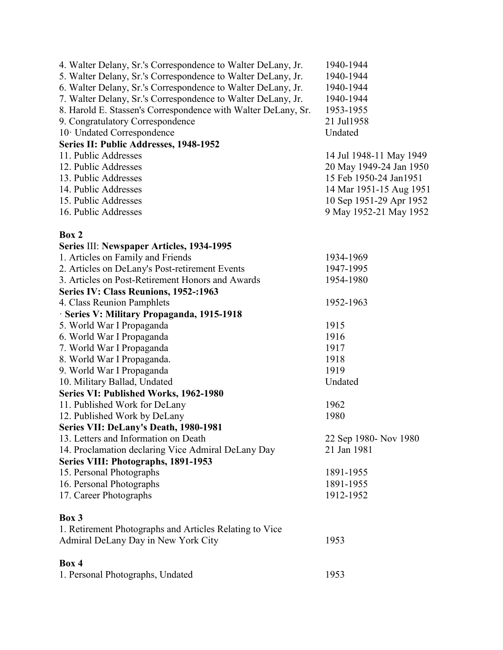| 4. Walter Delany, Sr.'s Correspondence to Walter DeLany, Jr.  | 1940-1944               |
|---------------------------------------------------------------|-------------------------|
| 5. Walter Delany, Sr.'s Correspondence to Walter DeLany, Jr.  | 1940-1944               |
| 6. Walter Delany, Sr.'s Correspondence to Walter DeLany, Jr.  | 1940-1944               |
| 7. Walter Delany, Sr.'s Correspondence to Walter DeLany, Jr.  | 1940-1944               |
| 8. Harold E. Stassen's Correspondence with Walter DeLany, Sr. | 1953-1955               |
| 9. Congratulatory Correspondence                              | 21 Jul 1958             |
| 10 Undated Correspondence                                     | Undated                 |
| Series II: Public Addresses, 1948-1952                        |                         |
| 11. Public Addresses                                          | 14 Jul 1948-11 May 1949 |
| 12. Public Addresses                                          | 20 May 1949-24 Jan 1950 |
| 13. Public Addresses                                          | 15 Feb 1950-24 Jan1951  |
| 14. Public Addresses                                          | 14 Mar 1951-15 Aug 1951 |
| 15. Public Addresses                                          | 10 Sep 1951-29 Apr 1952 |
| 16. Public Addresses                                          | 9 May 1952-21 May 1952  |
|                                                               |                         |
| Box 2                                                         |                         |
| Series III: Newspaper Articles, 1934-1995                     |                         |
| 1. Articles on Family and Friends                             | 1934-1969               |
| 2. Articles on DeLany's Post-retirement Events                | 1947-1995               |
| 3. Articles on Post-Retirement Honors and Awards              | 1954-1980               |
| Series IV: Class Reunions, 1952-:1963                         |                         |
| 4. Class Reunion Pamphlets                                    | 1952-1963               |
| · Series V: Military Propaganda, 1915-1918                    |                         |
| 5. World War I Propaganda                                     | 1915                    |
| 6. World War I Propaganda                                     | 1916                    |
| 7. World War I Propaganda                                     | 1917                    |
|                                                               | 1918                    |
| 8. World War I Propaganda.                                    |                         |
| 9. World War I Propaganda                                     | 1919<br>Undated         |
| 10. Military Ballad, Undated                                  |                         |
| Series VI: Published Works, 1962-1980                         |                         |
| 11. Published Work for DeLany                                 | 1962                    |
| 12. Published Work by DeLany                                  | 1980                    |
| Series VII: DeLany's Death, 1980-1981                         |                         |
| 13. Letters and Information on Death                          | 22 Sep 1980- Nov 1980   |
| 14. Proclamation declaring Vice Admiral DeLany Day            | 21 Jan 1981             |
| Series VIII: Photographs, 1891-1953                           |                         |
| 15. Personal Photographs                                      | 1891-1955               |
| 16. Personal Photographs                                      | 1891-1955               |
| 17. Career Photographs                                        | 1912-1952               |
| Box 3                                                         |                         |
| 1. Retirement Photographs and Articles Relating to Vice       |                         |
| Admiral DeLany Day in New York City                           | 1953                    |
|                                                               |                         |
| Box 4                                                         |                         |
| 1. Personal Photographs, Undated                              | 1953                    |
|                                                               |                         |